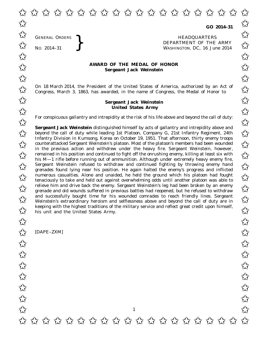GENERAL ORDERS

GENERAL ORDERS **REAL ORDERS** HEADQUARTERS **HEADQUARTERS HEADQUARTERS DEPARTMENT** OF THE **WASHINGTON, DC,** 16 Jul No. 2014-31<br>No. 2014-31<br>No. 2014-31<br>No. 2014-31 WASHINGTON, DC, *16 June 2014*  $\overrightarrow{\mathcal{A}}$  GENERAL ORDERS  $\overrightarrow{\mathcal{A}}$ 

## **AWARD OF THE MEDAL OF HONOR**<br>
Sergeant Jack Weinstein **Sergeant Jack Weinstein**

On 18 March 2014, the President of the United States of America, authorized by an Act of  $\sim$  Congress. March 3, 1863, has awarded, in the name of Congress, the Medal of Honor to  $\sim$ Congress, March 3, 1863, has awarded, in the name of Congress, the Medal of Honor to

## **Sergeant Jack Weinstein United States Army**  $\overrightarrow{\lambda}$  Sergeant Jack Weinstein  $\overrightarrow{\lambda}$ United States Army

For conspicuous gallantry and intrepidity at the risk of his life above and beyond the call of duty:<br>  $\overrightarrow{\lambda}$ 

**Sergeant Jack Weinstein** distinguished himself by acts of gallantry and intrepidity above and **Sergeant Jack Weinstein** distinguished himself by acts of gallantry and intrepidity above and<br>beyond the call of duty while leading 1st Platoon, Company G, 21st Infantry Regiment, 24th Infantry Division in Kumsong, Korea on October 19, 1951. That afternoon, thirty enemy troops counterattacked Sergeant Weinstein's platoon. Most of the platoon's members had been wounded<br>
in the maximum action and withdraw under the harme fine. Sentent Weinstein, because in the previous action and withdrew under the heavy fire. Sergeant Weinstein, however, remained in his position and continued to fight off the onrushing enemy, killing at least six with<br>
Solis M, 1 rifle before running out of ammunition. Although under extremely began enemy fire his M—1 rifle before running out of ammunition. Although under extremely heavy enemy fire,  $\sim$  Sergeant Weinstein refused to withdraw and continued fighting by throwing enemy hand  $\sim$  sergeant Weinstein refused to withdraw and continued fighting by throwing enemy hand grenades found lying near his position. He again halted the enemy's progress and inflicted  $\overline{\mathcal{A}}$  numerous casualties. Alone and unaided, he held the ground which his platoon had fought tenaciously to take and held out against overwhelming odds until another platoon was able to tenaciously to take and held out against overwhelming odds until another platoon was able to relieve him and drive back the enemy. Sergeant Weinstein's leg had been broken by an enemy<br>
Sergeant Weinstein's leg had been broken by an enemy<br>  $\overrightarrow{A}$  grenade and old wounds suffered in previous battles had reopened, grenade and old wounds suffered in previous battles had reopened, but he refused to withdraw and successfully bought time for his wounded comrades to reach friendly lines. Sergeant and successfully bought time for his wounded comrades to reach friendly lines. Sergeant Weinstein's extraordinary heroism and selflessness above and beyond the call of duty are in keeping with the highest traditions of the military service and reflect great credit upon himself,<br>
Solution that the United States Army. his unit and the United States Army.

1

[DAPE–ZXM]  $\frac{1}{\sqrt{2}}$  [DAPE-ZXM]